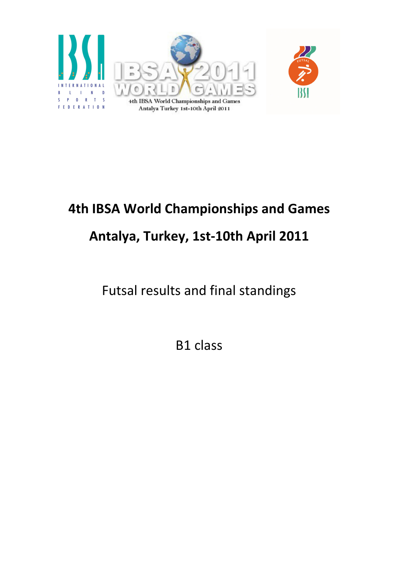

## 4th IBSA World Championships and Games Antalya, Turkey, 1st-10th April 2011

Futsal results and final standings

B1 class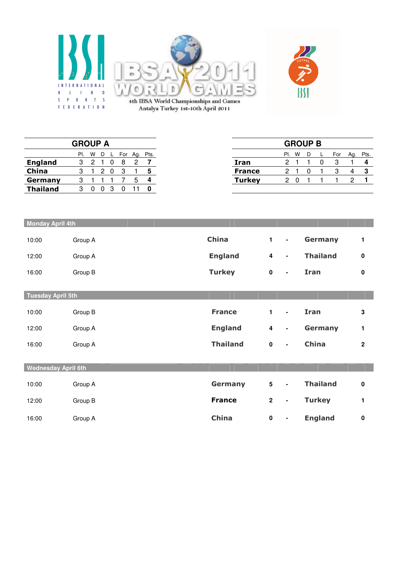



4th IBSA World Championships and Games<br>Antalya Turkey 1st-10th April 2011

|                 | <b>GROUP A</b> |   |   |  |     |     |            |               |     |   | <b>GROUP B</b> |     |     |  |
|-----------------|----------------|---|---|--|-----|-----|------------|---------------|-----|---|----------------|-----|-----|--|
|                 | PI.            | W | D |  | For | Ag. | Pts.       |               | PI. | W |                | For | Ag. |  |
| <b>England</b>  |                |   |   |  | 8   |     |            | Iran          |     |   |                |     |     |  |
| China           | 3              |   | ົ |  |     |     |            | <b>France</b> |     |   |                |     |     |  |
| Germany         | 3              |   |   |  |     |     | $\epsilon$ | <b>Turkey</b> |     |   |                |     |     |  |
| <b>Thailand</b> |                |   |   |  |     |     |            |               |     |   |                |     |     |  |

| <b>Monday April 4th</b>    |         |                 |                 |                |                 |             |
|----------------------------|---------|-----------------|-----------------|----------------|-----------------|-------------|
| 10:00                      | Group A | <b>China</b>    | $\mathbf{1}$    | $\blacksquare$ | Germany         | 1           |
| 12:00                      | Group A | <b>England</b>  | 4               | $\blacksquare$ | <b>Thailand</b> | $\mathbf 0$ |
| 16:00                      | Group B | <b>Turkey</b>   | $\pmb{0}$       | $\blacksquare$ | Iran            | $\mathbf 0$ |
| Tuesday April 5th          |         |                 |                 |                |                 |             |
|                            |         |                 |                 |                |                 |             |
| 10:00                      | Group B | <b>France</b>   | 1               | $\blacksquare$ | <b>Iran</b>     | $\mathbf 3$ |
| 12:00                      | Group A | <b>England</b>  | 4               | $\blacksquare$ | Germany         | 1           |
| 16:00                      | Group A | <b>Thailand</b> | $\pmb{0}$       | $\blacksquare$ | China           | $\mathbf 2$ |
|                            |         |                 |                 |                |                 |             |
| <b>Wednesday April 6th</b> |         |                 |                 |                |                 |             |
|                            |         |                 |                 |                |                 |             |
| 10:00                      | Group A | Germany         | $5\phantom{.0}$ | $\blacksquare$ | <b>Thailand</b> | $\mathbf 0$ |
| 12:00                      | Group B | <b>France</b>   | $\mathbf{2}$    | $\blacksquare$ | <b>Turkey</b>   | 1           |
| 16:00                      | Group A | <b>China</b>    | $\pmb{0}$       | $\blacksquare$ | <b>England</b>  | $\pmb{0}$   |